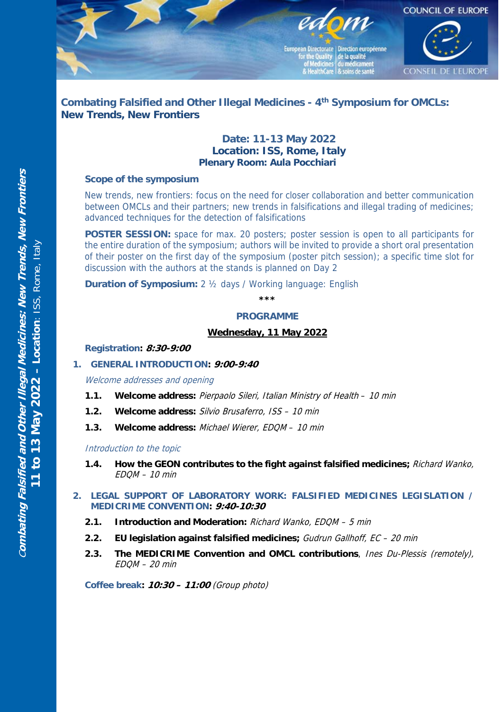

# **Combating Falsified and Other Illegal Medicines - 4th Symposium for OMCLs: New Trends, New Frontiers**

## **Date: 11-13 May 2022 Location: ISS, Rome, Italy Plenary Room: Aula Pocchiari**

## **Scope of the symposium**

New trends, new frontiers: focus on the need for closer collaboration and better communication between OMCLs and their partners; new trends in falsifications and illegal trading of medicines; advanced techniques for the detection of falsifications

**POSTER SESSION:** space for max. 20 posters; poster session is open to all participants for the entire duration of the symposium; authors will be invited to provide a short oral presentation of their poster on the first day of the symposium (poster pitch session); a specific time slot for discussion with the authors at the stands is planned on Day 2

**Duration of Symposium:** 2 ½ days / Working language: English

#### **\*\*\***

#### **PROGRAMME**

### **Wednesday, 11 May 2022**

#### **Registration: 8:30-9:00**

## **1. GENERAL INTRODUCTION: 9:00-9:40**

Welcome addresses and opening

- **1.1. Welcome address:** Pierpaolo Sileri, Italian Ministry of Health 10 min
- **1.2. Welcome address:** Silvio Brusaferro, ISS 10 min
- **1.3. Welcome address:** Michael Wierer, EDQM 10 min

#### Introduction to the topic

- **1.4. How the GEON contributes to the fight against falsified medicines;** Richard Wanko, EDQM – 10 min
- **2. LEGAL SUPPORT OF LABORATORY WORK: FALSIFIED MEDICINES LEGISLATION / MEDICRIME CONVENTION: 9:40-10:30**
	- **2.1. Introduction and Moderation:** Richard Wanko, EDQM 5 min
	- **2.2. EU legislation against falsified medicines;** Gudrun Gallhoff, EC 20 min
	- **2.3. The MEDICRIME Convention and OMCL contributions**, Ines Du-Plessis (remotely),  $FDOM - 20 min$

**Coffee break: 10:30 – 11:00** (Group photo)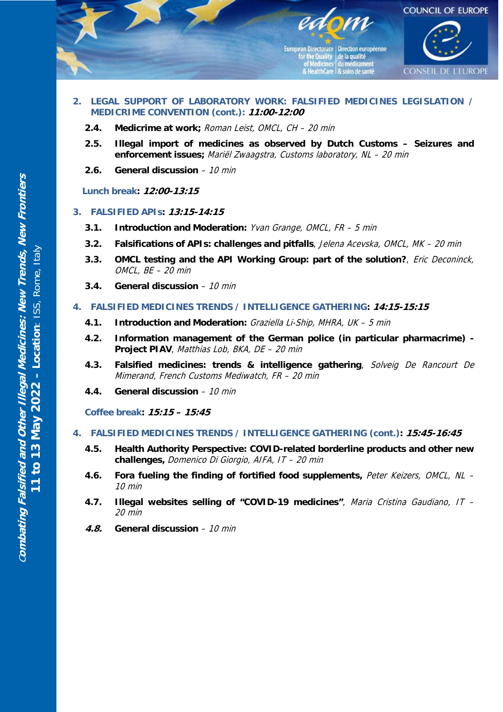

- **2. LEGAL SUPPORT OF LABORATORY WORK: FALSIFIED MEDICINES LEGISLATION / MEDICRIME CONVENTION (cont.): 11:00-12:00**
	- **2.4. Medicrime at work;** Roman Leist, OMCL, CH 20 min
	- **2.5. Illegal import of medicines as observed by Dutch Customs Seizures and enforcement issues;** Mariël Zwaagstra, Customs laboratory, NL – 20 min
	- **2.6. General discussion** 10 min

**Lunch break: 12:00-13:15** 

- **3. FALSIFIED APIs: 13:15-14:15**
	- **3.1. Introduction and Moderation:** Yvan Grange, OMCL, FR 5 min
	- **3.2. Falsifications of APIs: challenges and pitfalls**, Jelena Acevska, OMCL, MK 20 min
	- **3.3. OMCL testing and the API Working Group: part of the solution?**, Eric Deconinck, OMCL, BE – 20 min
	- **3.4. General discussion** 10 min
- **4. FALSIFIED MEDICINES TRENDS / INTELLIGENCE GATHERING: 14:15-15:15**
	- **4.1. Introduction and Moderation:** Graziella Li-Ship, MHRA, UK 5 min
	- **4.2. Information management of the German police (in particular pharmacrime) Project PIAV**, Matthias Lob, BKA, DE – 20 min
	- **4.3. Falsified medicines: trends & intelligence gathering**, Solveig De Rancourt De Mimerand, French Customs Mediwatch, FR – 20 min
	- **4.4. General discussion** 10 min

**Coffee break: 15:15 – 15:45**

- **4. FALSIFIED MEDICINES TRENDS / INTELLIGENCE GATHERING (cont.): 15:45-16:45**
	- **4.5. Health Authority Perspective: COVID-related borderline products and other new challenges,** Domenico Di Giorgio, AIFA, IT – 20 min
	- **4.6. Fora fueling the finding of fortified food supplements,** Peter Keizers, OMCL, NL 10 min
	- **4.7. Illegal websites selling of "COVID-19 medicines"**, Maria Cristina Gaudiano, IT 20 min
	- **4.8. General discussion** 10 min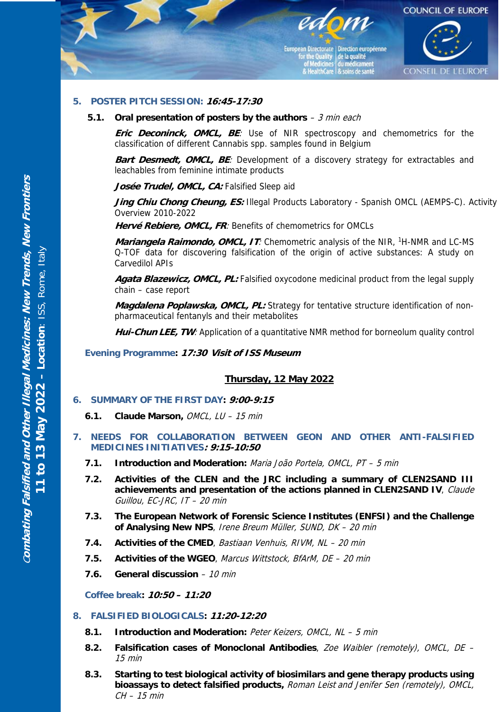

## **5. POSTER PITCH SESSION: 16:45-17:30**

#### **5.1. Oral presentation of posters by the authors** – 3 min each

**Eric Deconinck, OMCL, BE**: Use of NIR spectroscopy and chemometrics for the classification of different Cannabis spp. samples found in Belgium

**Bart Desmedt, OMCL, BE:** Development of a discovery strategy for extractables and leachables from feminine intimate products

Josée Trudel, OMCL, CA: Falsified Sleep aid

Jing Chiu Chong Cheung, ES: Illegal Products Laboratory - Spanish OMCL (AEMPS-C). Activity Overview 2010-2022

**Hervé Rebiere, OMCL, FR**: Benefits of chemometrics for OMCLs

**Mariangela Raimondo, OMCL, IT:** Chemometric analysis of the NIR, <sup>1</sup>H-NMR and LC-MS Q-TOF data for discovering falsification of the origin of active substances: A study on Carvedilol APIs

**Agata Blazewicz, OMCL, PL:** Falsified oxycodone medicinal product from the legal supply chain – case report

**Magdalena Poplawska, OMCL, PL:** Strategy for tentative structure identification of nonpharmaceutical fentanyls and their metabolites

Hui-Chun LEE, TW: Application of a quantitative NMR method for borneolum quality control

**Evening Programme: 17:30 Visit of ISS Museum**

#### **Thursday, 12 May 2022**

#### **6. SUMMARY OF THE FIRST DAY: 9:00-9:15**

- **6.1. Claude Marson,** OMCL, LU 15 min
- **7. NEEDS FOR COLLABORATION BETWEEN GEON AND OTHER ANTI-FALSIFIED MEDICINES INITIATIVES: 9:15-10:50**
	- **7.1. Introduction and Moderation:** Maria João Portela, OMCL, PT 5 min
	- **7.2. Activities of the CLEN and the JRC including a summary of CLEN2SAND III achievements and presentation of the actions planned in CLEN2SAND IV**, Claude Guillou, EC-JRC, IT – 20 min
	- **7.3. The European Network of Forensic Science Institutes (ENFSI) and the Challenge of Analysing New NPS**, Irene Breum Müller, SUND, DK – 20 min
	- **7.4. Activities of the CMED**, Bastiaan Venhuis, RIVM, NL 20 min
	- **7.5. Activities of the WGEO**, Marcus Wittstock, BfArM, DE 20 min
	- **7.6. General discussion** 10 min

**Coffee break: 10:50 – 11:20**

## **8. FALSIFIED BIOLOGICALS: 11:20-12:20**

- **8.1. Introduction and Moderation:** Peter Keizers, OMCL, NL 5 min
- **8.2. Falsification cases of Monoclonal Antibodies**, Zoe Waibler (remotely), OMCL, DE 15 min
- **8.3. Starting to test biological activity of biosimilars and gene therapy products using bioassays to detect falsified products,** Roman Leist and Jenifer Sen (remotely), OMCL, CH – 15 min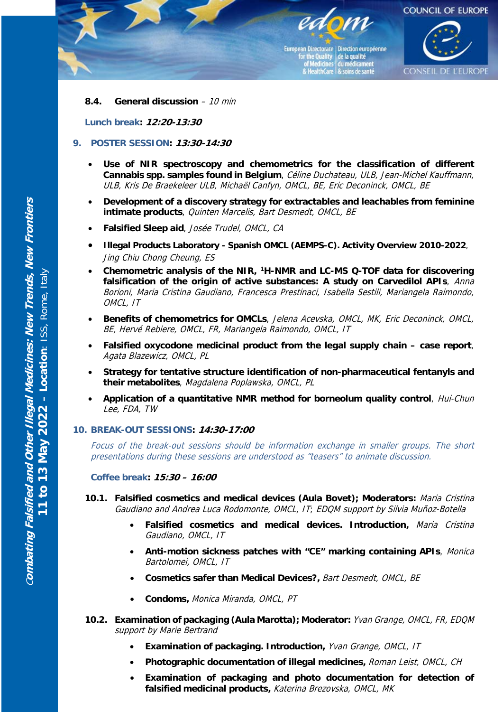

## **8.4. General discussion** – 10 min

**Lunch break: 12:20-13:30**

## **9. POSTER SESSION: 13:30-14:30**

- **Use of NIR spectroscopy and chemometrics for the classification of different Cannabis spp. samples found in Belgium**, Céline Duchateau, ULB, Jean-Michel Kauffmann, ULB, Kris De Braekeleer ULB, Michaël Canfyn, OMCL, BE, Eric Deconinck, OMCL, BE
- **Development of a discovery strategy for extractables and leachables from feminine intimate products**, Quinten Marcelis, Bart Desmedt, OMCL, BE
- **Falsified Sleep aid**, Josée Trudel, OMCL, CA
- **Illegal Products Laboratory Spanish OMCL (AEMPS-C). Activity Overview 2010-2022**, Jing Chiu Chong Cheung, ES
- **Chemometric analysis of the NIR, 1H-NMR and LC-MS Q-TOF data for discovering falsification of the origin of active substances: A study on Carvedilol APIs**, Anna Borioni, Maria Cristina Gaudiano, Francesca Prestinaci, Isabella Sestili, Mariangela Raimondo, OMCL, IT
- **Benefits of chemometrics for OMCLs**, Jelena Acevska, OMCL, MK, Eric Deconinck, OMCL, BE, Hervé Rebiere, OMCL, FR, Mariangela Raimondo, OMCL, IT
- **Falsified oxycodone medicinal product from the legal supply chain case report**, Agata Blazewicz, OMCL, PL
- **Strategy for tentative structure identification of non-pharmaceutical fentanyls and their metabolites**, Magdalena Poplawska, OMCL, PL
- **Application of a quantitative NMR method for borneolum quality control**, Hui-Chun Lee, FDA, TW

#### **10. BREAK-OUT SESSIONS: 14:30-17:00**

Focus of the break-out sessions should be information exchange in smaller groups. The short presentations during these sessions are understood as "teasers" to animate discussion.

**Coffee break: 15:30 – 16:00** 

- **10.1. Falsified cosmetics and medical devices (Aula Bovet); Moderators:** Maria Cristina Gaudiano and Andrea Luca Rodomonte, OMCL, IT; EDQM support by Silvia Muñoz-Botella
	- **Falsified cosmetics and medical devices. Introduction,** Maria Cristina Gaudiano, OMCL, IT
	- **Anti-motion sickness patches with "CE" marking containing APIs**, Monica Bartolomei, OMCL, IT
	- **Cosmetics safer than Medical Devices?,** Bart Desmedt, OMCL, BE
	- **Condoms,** Monica Miranda, OMCL, PT
- **10.2. Examination of packaging (Aula Marotta); Moderator:** Yvan Grange, OMCL, FR, EDQM support by Marie Bertrand
	- **Examination of packaging. Introduction,** Yvan Grange, OMCL, IT
	- Photographic documentation of illegal medicines, *Roman Leist, OMCL, CH*
	- **Examination of packaging and photo documentation for detection of falsified medicinal products,** Katerina Brezovska, OMCL, MK